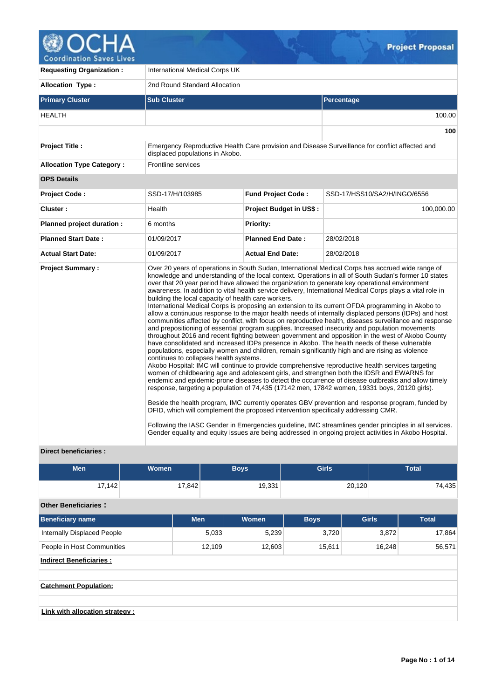

| <b>Requesting Organization:</b>  | International Medical Corps UK                                                                                                                                                      |                                |                                                                                                                                                                                                                                                                                                                                                                                                                                                                                                                                                                                                                                                                                                                                                                                                                                                                                                                                                                                                                                                                                                                                                                                                                                                                                                                                                                                                                                                                                                                                                                                                                                                                                                                                                                                                                                                                                                    |  |  |  |  |  |
|----------------------------------|-------------------------------------------------------------------------------------------------------------------------------------------------------------------------------------|--------------------------------|----------------------------------------------------------------------------------------------------------------------------------------------------------------------------------------------------------------------------------------------------------------------------------------------------------------------------------------------------------------------------------------------------------------------------------------------------------------------------------------------------------------------------------------------------------------------------------------------------------------------------------------------------------------------------------------------------------------------------------------------------------------------------------------------------------------------------------------------------------------------------------------------------------------------------------------------------------------------------------------------------------------------------------------------------------------------------------------------------------------------------------------------------------------------------------------------------------------------------------------------------------------------------------------------------------------------------------------------------------------------------------------------------------------------------------------------------------------------------------------------------------------------------------------------------------------------------------------------------------------------------------------------------------------------------------------------------------------------------------------------------------------------------------------------------------------------------------------------------------------------------------------------------|--|--|--|--|--|
| <b>Allocation Type:</b>          | 2nd Round Standard Allocation                                                                                                                                                       |                                |                                                                                                                                                                                                                                                                                                                                                                                                                                                                                                                                                                                                                                                                                                                                                                                                                                                                                                                                                                                                                                                                                                                                                                                                                                                                                                                                                                                                                                                                                                                                                                                                                                                                                                                                                                                                                                                                                                    |  |  |  |  |  |
| <b>Primary Cluster</b>           | <b>Sub Cluster</b>                                                                                                                                                                  |                                | Percentage                                                                                                                                                                                                                                                                                                                                                                                                                                                                                                                                                                                                                                                                                                                                                                                                                                                                                                                                                                                                                                                                                                                                                                                                                                                                                                                                                                                                                                                                                                                                                                                                                                                                                                                                                                                                                                                                                         |  |  |  |  |  |
| <b>HEALTH</b>                    |                                                                                                                                                                                     |                                | 100.00                                                                                                                                                                                                                                                                                                                                                                                                                                                                                                                                                                                                                                                                                                                                                                                                                                                                                                                                                                                                                                                                                                                                                                                                                                                                                                                                                                                                                                                                                                                                                                                                                                                                                                                                                                                                                                                                                             |  |  |  |  |  |
|                                  |                                                                                                                                                                                     |                                | 100                                                                                                                                                                                                                                                                                                                                                                                                                                                                                                                                                                                                                                                                                                                                                                                                                                                                                                                                                                                                                                                                                                                                                                                                                                                                                                                                                                                                                                                                                                                                                                                                                                                                                                                                                                                                                                                                                                |  |  |  |  |  |
| <b>Project Title:</b>            | displaced populations in Akobo.                                                                                                                                                     |                                | Emergency Reproductive Health Care provision and Disease Surveillance for conflict affected and                                                                                                                                                                                                                                                                                                                                                                                                                                                                                                                                                                                                                                                                                                                                                                                                                                                                                                                                                                                                                                                                                                                                                                                                                                                                                                                                                                                                                                                                                                                                                                                                                                                                                                                                                                                                    |  |  |  |  |  |
| <b>Allocation Type Category:</b> | <b>Frontline services</b>                                                                                                                                                           |                                |                                                                                                                                                                                                                                                                                                                                                                                                                                                                                                                                                                                                                                                                                                                                                                                                                                                                                                                                                                                                                                                                                                                                                                                                                                                                                                                                                                                                                                                                                                                                                                                                                                                                                                                                                                                                                                                                                                    |  |  |  |  |  |
| <b>OPS Details</b>               |                                                                                                                                                                                     |                                |                                                                                                                                                                                                                                                                                                                                                                                                                                                                                                                                                                                                                                                                                                                                                                                                                                                                                                                                                                                                                                                                                                                                                                                                                                                                                                                                                                                                                                                                                                                                                                                                                                                                                                                                                                                                                                                                                                    |  |  |  |  |  |
| <b>Project Code:</b>             | SSD-17/H/103985                                                                                                                                                                     | <b>Fund Project Code:</b>      | SSD-17/HSS10/SA2/H/INGO/6556                                                                                                                                                                                                                                                                                                                                                                                                                                                                                                                                                                                                                                                                                                                                                                                                                                                                                                                                                                                                                                                                                                                                                                                                                                                                                                                                                                                                                                                                                                                                                                                                                                                                                                                                                                                                                                                                       |  |  |  |  |  |
| Cluster:                         | Health                                                                                                                                                                              | <b>Project Budget in US\$:</b> | 100,000.00                                                                                                                                                                                                                                                                                                                                                                                                                                                                                                                                                                                                                                                                                                                                                                                                                                                                                                                                                                                                                                                                                                                                                                                                                                                                                                                                                                                                                                                                                                                                                                                                                                                                                                                                                                                                                                                                                         |  |  |  |  |  |
| Planned project duration :       | 6 months                                                                                                                                                                            | Priority:                      |                                                                                                                                                                                                                                                                                                                                                                                                                                                                                                                                                                                                                                                                                                                                                                                                                                                                                                                                                                                                                                                                                                                                                                                                                                                                                                                                                                                                                                                                                                                                                                                                                                                                                                                                                                                                                                                                                                    |  |  |  |  |  |
| <b>Planned Start Date:</b>       | 01/09/2017                                                                                                                                                                          | <b>Planned End Date:</b>       | 28/02/2018                                                                                                                                                                                                                                                                                                                                                                                                                                                                                                                                                                                                                                                                                                                                                                                                                                                                                                                                                                                                                                                                                                                                                                                                                                                                                                                                                                                                                                                                                                                                                                                                                                                                                                                                                                                                                                                                                         |  |  |  |  |  |
| <b>Actual Start Date:</b>        | 01/09/2017                                                                                                                                                                          | <b>Actual End Date:</b>        | 28/02/2018                                                                                                                                                                                                                                                                                                                                                                                                                                                                                                                                                                                                                                                                                                                                                                                                                                                                                                                                                                                                                                                                                                                                                                                                                                                                                                                                                                                                                                                                                                                                                                                                                                                                                                                                                                                                                                                                                         |  |  |  |  |  |
| <b>Project Summary:</b>          | building the local capacity of health care workers.<br>continues to collapses health systems.<br>DFID, which will complement the proposed intervention specifically addressing CMR. |                                | Over 20 years of operations in South Sudan, International Medical Corps has accrued wide range of<br>knowledge and understanding of the local context. Operations in all of South Sudan's former 10 states<br>over that 20 year period have allowed the organization to generate key operational environment<br>awareness. In addition to vital health service delivery, International Medical Corps plays a vital role in<br>International Medical Corps is proposing an extension to its current OFDA programming in Akobo to<br>allow a continuous response to the major health needs of internally displaced persons (IDPs) and host<br>communities affected by conflict, with focus on reproductive health, diseases surveillance and response<br>and prepositioning of essential program supplies. Increased insecurity and population movements<br>throughout 2016 and recent fighting between government and opposition in the west of Akobo County<br>have consolidated and increased IDPs presence in Akobo. The health needs of these vulnerable<br>populations, especially women and children, remain significantly high and are rising as violence<br>Akobo Hospital: IMC will continue to provide comprehensive reproductive health services targeting<br>women of childbearing age and adolescent girls, and strengthen both the IDSR and EWARNS for<br>endemic and epidemic-prone diseases to detect the occurrence of disease outbreaks and allow timely<br>response, targeting a population of 74,435 (17142 men, 17842 women, 19331 boys, 20120 girls).<br>Beside the health program, IMC currently operates GBV prevention and response program, funded by<br>Following the IASC Gender in Emergencies guideline, IMC streamlines gender principles in all services.<br>Gender equality and equity issues are being addressed in ongoing project activities in Akobo Hospital. |  |  |  |  |  |

## **Direct beneficiaries :**

| <b>Men</b>                         | Women      |        | <b>Boys</b>  | <b>Girls</b> |              | <b>Total</b> |
|------------------------------------|------------|--------|--------------|--------------|--------------|--------------|
| 17,142                             | 17,842     |        | 19,331       |              | 20,120       | 74,435       |
| <b>Other Beneficiaries:</b>        |            |        |              |              |              |              |
| <b>Beneficiary name</b>            | <b>Men</b> |        | <b>Women</b> | <b>Boys</b>  | <b>Girls</b> | <b>Total</b> |
| <b>Internally Displaced People</b> |            | 5,033  | 5,239        | 3,720        | 3,872        | 17,864       |
| People in Host Communities         |            | 12,109 | 12,603       | 15,611       | 16,248       | 56,571       |
| <b>Indirect Beneficiaries:</b>     |            |        |              |              |              |              |
|                                    |            |        |              |              |              |              |
| <b>Catchment Population:</b>       |            |        |              |              |              |              |
|                                    |            |        |              |              |              |              |
| Link with allocation strategy :    |            |        |              |              |              |              |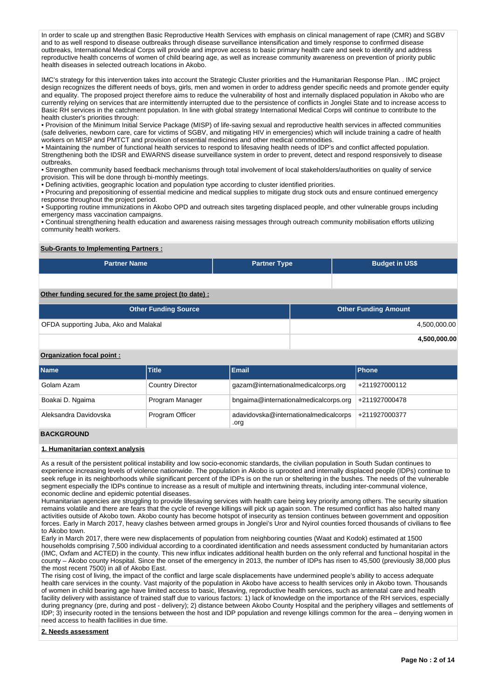In order to scale up and strengthen Basic Reproductive Health Services with emphasis on clinical management of rape (CMR) and SGBV and to as well respond to disease outbreaks through disease surveillance intensification and timely response to confirmed disease outbreaks, International Medical Corps will provide and improve access to basic primary health care and seek to identify and address reproductive health concerns of women of child bearing age, as well as increase community awareness on prevention of priority public health diseases in selected outreach locations in Akobo.

IMC's strategy for this intervention takes into account the Strategic Cluster priorities and the Humanitarian Response Plan. . IMC project design recognizes the different needs of boys, girls, men and women in order to address gender specific needs and promote gender equity and equality. The proposed project therefore aims to reduce the vulnerability of host and internally displaced population in Akobo who are currently relying on services that are intermittently interrupted due to the persistence of conflicts in Jonglei State and to increase access to Basic RH services in the catchment population. In line with global strategy International Medical Corps will continue to contribute to the health cluster's priorities through:

• Provision of the Minimum Initial Service Package (MISP) of life-saving sexual and reproductive health services in affected communities (safe deliveries, newborn care, care for victims of SGBV, and mitigating HIV in emergencies) which will include training a cadre of health workers on MISP and PMTCT and provision of essential medicines and other medical commodities.

• Maintaining the number of functional health services to respond to lifesaving health needs of IDP's and conflict affected population. Strengthening both the IDSR and EWARNS disease surveillance system in order to prevent, detect and respond responsively to disease outbreaks.

• Strengthen community based feedback mechanisms through total involvement of local stakeholders/authorities on quality of service provision. This will be done through bi-monthly meetings.

• Defining activities, geographic location and population type according to cluster identified priorities.

• Procuring and prepositioning of essential medicine and medical supplies to mitigate drug stock outs and ensure continued emergency response throughout the project period.

• Supporting routine immunizations in Akobo OPD and outreach sites targeting displaced people, and other vulnerable groups including emergency mass vaccination campaigns.

• Continual strengthening health education and awareness raising messages through outreach community mobilisation efforts utilizing community health workers.

#### **Sub-Grants to Implementing Partners :**

| <b>Partner Name</b> | <b>Partner Type</b> | <b>Budget in US\$</b> |
|---------------------|---------------------|-----------------------|
|                     |                     |                       |

## **Other funding secured for the same project (to date) :**

| <b>Other Funding Source</b>           | <b>Other Funding Amount</b> |
|---------------------------------------|-----------------------------|
| OFDA supporting Juba, Ako and Malakal | 4,500,000.00                |
|                                       | 4,500,000.00                |

#### **Organization focal point :**

| <b>Name</b>           | <b>Title</b>            | <b>Email</b>                                  | <b>IPhone</b> |
|-----------------------|-------------------------|-----------------------------------------------|---------------|
| Golam Azam            | <b>Country Director</b> | gazam@internationalmedicalcorps.org           | +211927000112 |
| Boakai D. Ngaima      | Program Manager         | bngaima@internationalmedicalcorps.org         | +211927000478 |
| Aleksandra Davidovska | Program Officer         | adavidovska@internationalmedicalcorps<br>.org | +211927000377 |
|                       |                         |                                               |               |

#### **BACKGROUND**

#### **1. Humanitarian context analysis**

As a result of the persistent political instability and low socio-economic standards, the civilian population in South Sudan continues to experience increasing levels of violence nationwide. The population in Akobo is uprooted and internally displaced people (IDPs) continue to seek refuge in its neighborhoods while significant percent of the IDPs is on the run or sheltering in the bushes. The needs of the vulnerable segment especially the IDPs continue to increase as a result of multiple and intertwining threats, including inter-communal violence, economic decline and epidemic potential diseases.

Humanitarian agencies are struggling to provide lifesaving services with health care being key priority among others. The security situation remains volatile and there are fears that the cycle of revenge killings will pick up again soon. The resumed conflict has also halted many activities outside of Akobo town. Akobo county has become hotspot of insecurity as tension continues between government and opposition forces. Early in March 2017, heavy clashes between armed groups in Jonglei's Uror and Nyirol counties forced thousands of civilians to flee to Akobo town.

Early in March 2017, there were new displacements of population from neighboring counties (Waat and Kodok) estimated at 1500 households comprising 7,500 individual according to a coordinated identification and needs assessment conducted by humanitarian actors (IMC, Oxfam and ACTED) in the county. This new influx indicates additional health burden on the only referral and functional hospital in the county – Akobo county Hospital. Since the onset of the emergency in 2013, the number of IDPs has risen to 45,500 (previously 38,000 plus the most recent 7500) in all of Akobo East.

The rising cost of living, the impact of the conflict and large scale displacements have undermined people's ability to access adequate health care services in the county. Vast majority of the population in Akobo have access to health services only in Akobo town. Thousands of women in child bearing age have limited access to basic, lifesaving, reproductive health services, such as antenatal care and health facility delivery with assistance of trained staff due to various factors: 1) lack of knowledge on the importance of the RH services, especially during pregnancy (pre, during and post - delivery); 2) distance between Akobo County Hospital and the periphery villages and settlements of IDP; 3) insecurity rooted in the tensions between the host and IDP population and revenge killings common for the area – denying women in need access to health facilities in due time.

#### **2. Needs assessment**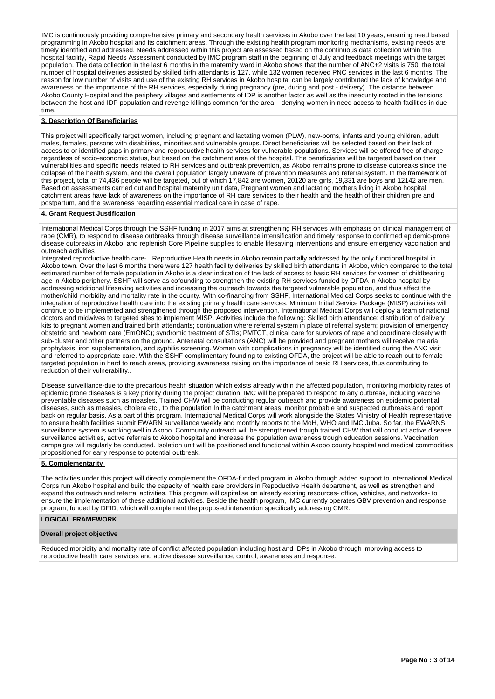IMC is continuously providing comprehensive primary and secondary health services in Akobo over the last 10 years, ensuring need based programming in Akobo hospital and its catchment areas. Through the existing health program monitoring mechanisms, existing needs are timely identified and addressed. Needs addressed within this project are assessed based on the continuous data collection within the hospital facility, Rapid Needs Assessment conducted by IMC program staff in the beginning of July and feedback meetings with the target population. The data collection in the last 6 months in the maternity ward in Akobo shows that the number of ANC+2 visits is 750, the total number of hospital deliveries assisted by skilled birth attendants is 127, while 132 women received PNC services in the last 6 months. The reason for low number of visits and use of the existing RH services in Akobo hospital can be largely contributed the lack of knowledge and awareness on the importance of the RH services, especially during pregnancy (pre, during and post - delivery). The distance between Akobo County Hospital and the periphery villages and settlements of IDP is another factor as well as the insecurity rooted in the tensions between the host and IDP population and revenge killings common for the area – denying women in need access to health facilities in due time.

#### **3. Description Of Beneficiaries**

This project will specifically target women, including pregnant and lactating women (PLW), new-borns, infants and young children, adult males, females, persons with disabilities, minorities and vulnerable groups. Direct beneficiaries will be selected based on their lack of access to or identified gaps in primary and reproductive health services for vulnerable populations. Services will be offered free of charge regardless of socio-economic status, but based on the catchment area of the hospital. The beneficiaries will be targeted based on their vulnerabilities and specific needs related to RH services and outbreak prevention, as Akobo remains prone to disease outbreaks since the collapse of the health system, and the overall population largely unaware of prevention measures and referral system. In the framework of this project, total of 74,436 people will be targeted, out of which 17,842 are women, 20120 are girls, 19,331 are boys and 12142 are men. Based on assessments carried out and hospital maternity unit data, Pregnant women and lactating mothers living in Akobo hospital catchment areas have lack of awareness on the importance of RH care services to their health and the health of their children pre and postpartum, and the awareness regarding essential medical care in case of rape.

#### **4. Grant Request Justification**

International Medical Corps through the SSHF funding in 2017 aims at strengthening RH services with emphasis on clinical management of rape (CMR), to respond to disease outbreaks through disease surveillance intensification and timely response to confirmed epidemic-prone disease outbreaks in Akobo, and replenish Core Pipeline supplies to enable lifesaving interventions and ensure emergency vaccination and outreach activities

Integrated reproductive health care- . Reproductive Health needs in Akobo remain partially addressed by the only functional hospital in Akobo town. Over the last 6 months there were 127 health facility deliveries by skilled birth attendants in Akobo, which compared to the total estimated number of female population in Akobo is a clear indication of the lack of access to basic RH services for women of childbearing age in Akobo periphery. SSHF will serve as cofounding to strengthen the existing RH services funded by OFDA in Akobo hospital by addressing additional lifesaving activities and increasing the outreach towards the targeted vulnerable population, and thus affect the mother/child morbidity and mortality rate in the county. With co-financing from SSHF, International Medical Corps seeks to continue with the integration of reproductive health care into the existing primary health care services. Minimum Initial Service Package (MISP) activities will continue to be implemented and strengthened through the proposed intervention. International Medical Corps will deploy a team of national doctors and midwives to targeted sites to implement MISP. Activities include the following: Skilled birth attendance; distribution of delivery kits to pregnant women and trained birth attendants; continuation where referral system in place of referral system; provision of emergency obstetric and newborn care (EmONC); syndromic treatment of STIs; PMTCT, clinical care for survivors of rape and coordinate closely with sub-cluster and other partners on the ground. Antenatal consultations (ANC) will be provided and pregnant mothers will receive malaria prophylaxis, iron supplementation, and syphilis screening. Women with complications in pregnancy will be identified during the ANC visit and referred to appropriate care. With the SSHF complimentary founding to existing OFDA, the project will be able to reach out to female targeted population in hard to reach areas, providing awareness raising on the importance of basic RH services, thus contributing to reduction of their vulnerability..

Disease surveillance-due to the precarious health situation which exists already within the affected population, monitoring morbidity rates of epidemic prone diseases is a key priority during the project duration. IMC will be prepared to respond to any outbreak, including vaccine preventable diseases such as measles. Trained CHW will be conducting regular outreach and provide awareness on epidemic potential diseases, such as measles, cholera etc., to the population In the catchment areas, monitor probable and suspected outbreaks and report back on regular basis. As a part of this program, International Medical Corps will work alongside the States Ministry of Health representative to ensure health facilities submit EWARN surveillance weekly and monthly reports to the MoH, WHO and IMC Juba. So far, the EWARNS surveillance system is working well in Akobo. Community outreach will be strengthened trough trained CHW that will conduct active disease surveillance activities, active referrals to Akobo hospital and increase the population awareness trough education sessions. Vaccination campaigns will regularly be conducted. Isolation unit will be positioned and functional within Akobo county hospital and medical commodities propositioned for early response to potential outbreak.

#### **5. Complementarity**

The activities under this project will directly complement the OFDA-funded program in Akobo through added support to International Medical Corps run Akobo hospital and build the capacity of health care providers in Repoductive Health department, as well as strengthen and expand the outreach and referral activities. This program will capitalise on already existing resources- office, vehicles, and networks- to ensure the implementation of these additional activities. Beside the health program, IMC currently operates GBV prevention and response program, funded by DFID, which will complement the proposed intervention specifically addressing CMR.

#### **LOGICAL FRAMEWORK**

#### **Overall project objective**

Reduced morbidity and mortality rate of conflict affected population including host and IDPs in Akobo through improving access to reproductive health care services and active disease surveillance, control, awareness and response.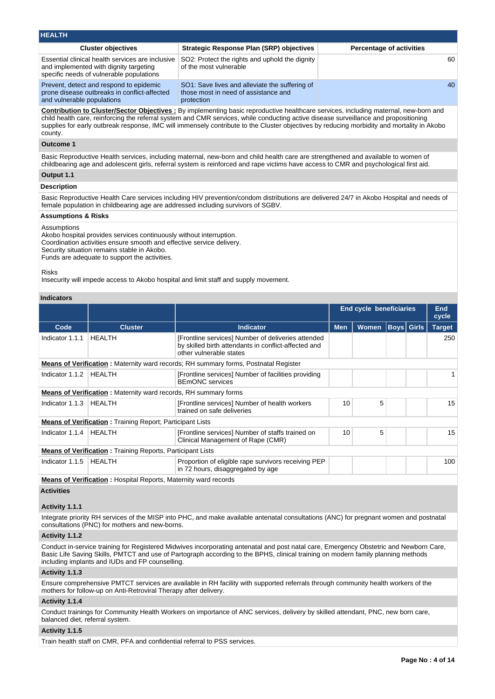| <b>HEALTH</b>                                                                                                                          |                                                                                                                                    |                                 |
|----------------------------------------------------------------------------------------------------------------------------------------|------------------------------------------------------------------------------------------------------------------------------------|---------------------------------|
| <b>Cluster objectives</b>                                                                                                              | <b>Strategic Response Plan (SRP) objectives</b>                                                                                    | <b>Percentage of activities</b> |
| Essential clinical health services are inclusive<br>and implemented with dignity targeting<br>specific needs of vulnerable populations | SO2: Protect the rights and uphold the dignity<br>of the most vulnerable                                                           | 60                              |
| Prevent, detect and respond to epidemic<br>prone disease outbreaks in conflict-affected<br>and vulnerable populations                  | SO1: Save lives and alleviate the suffering of<br>those most in need of assistance and<br>protection                               | 40                              |
|                                                                                                                                        | Contribution to Cluster/Sector Objectives · By implementing basic reproductive healthcare services including maternal new-born and |                                 |

**Contribution to Cluster/Sector Objectives :** By implementing basic reproductive healthcare services, including maternal, new-born and child health care, reinforcing the referral system and CMR services, while conducting active disease surveillance and propositioning supplies for early outbreak response, IMC will immensely contribute to the Cluster objectives by reducing morbidity and mortality in Akobo county.

### **Outcome 1**

Basic Reproductive Health services, including maternal, new-born and child health care are strengthened and available to women of childbearing age and adolescent girls, referral system is reinforced and rape victims have access to CMR and psychological first aid. **Output 1.1**

# **Description**

Basic Reproductive Health Care services including HIV prevention/condom distributions are delivered 24/7 in Akobo Hospital and needs of female population in childbearing age are addressed including survivors of SGBV.

#### **Assumptions & Risks**

Assumptions

Akobo hospital provides services continuously without interruption. Coordination activities ensure smooth and effective service delivery. Security situation remains stable in Akobo.

Funds are adequate to support the activities.

Risks

Insecurity will impede access to Akobo hospital and limit staff and supply movement.

## **Indicators**

|                 |                                                                                                                                                 |                                                                                                                                       |            | <b>End cycle beneficiaries</b> |  |                   |               |  |  |
|-----------------|-------------------------------------------------------------------------------------------------------------------------------------------------|---------------------------------------------------------------------------------------------------------------------------------------|------------|--------------------------------|--|-------------------|---------------|--|--|
| Code            | <b>Cluster</b>                                                                                                                                  | <b>Indicator</b>                                                                                                                      | <b>Men</b> | <b>Women</b>                   |  | <b>Boys Girls</b> | <b>Target</b> |  |  |
| Indicator 1.1.1 | <b>HEALTH</b>                                                                                                                                   | [Frontline services] Number of deliveries attended<br>by skilled birth attendants in conflict-affected and<br>other vulnerable states |            |                                |  |                   | 250           |  |  |
|                 |                                                                                                                                                 | <b>Means of Verification:</b> Maternity ward records; RH summary forms, Postnatal Register                                            |            |                                |  |                   |               |  |  |
| Indicator 1.1.2 | HEALTH                                                                                                                                          | [Frontline services] Number of facilities providing<br><b>BEmONC</b> services                                                         |            |                                |  |                   |               |  |  |
|                 | <b>Means of Verification:</b> Maternity ward records, RH summary forms                                                                          |                                                                                                                                       |            |                                |  |                   |               |  |  |
| Indicator 1.1.3 | HEALTH                                                                                                                                          | [Frontline services] Number of health workers<br>trained on safe deliveries                                                           | 10         | 5                              |  |                   | 15            |  |  |
|                 | <b>Means of Verification:</b> Training Report; Participant Lists                                                                                |                                                                                                                                       |            |                                |  |                   |               |  |  |
| Indicator 1.1.4 | HEALTH                                                                                                                                          | [Frontline services] Number of staffs trained on<br>Clinical Management of Rape (CMR)                                                 | 10         | 5                              |  |                   | 15            |  |  |
|                 | <b>Means of Verification:</b> Training Reports, Participant Lists                                                                               |                                                                                                                                       |            |                                |  |                   |               |  |  |
| Indicator 1.1.5 | HEALTH                                                                                                                                          | Proportion of eligible rape survivors receiving PEP<br>in 72 hours, disaggregated by age                                              |            |                                |  |                   | 100           |  |  |
|                 | <b>Respectively.</b> The set of the contract $\mathbf{P}$ consider $\mathbf{M}$ and $\mathbf{M}$ are considered to the contract of $\mathbf{M}$ |                                                                                                                                       |            |                                |  |                   |               |  |  |

**Means of Verification :** Hospital Reports, Maternity ward records

## **Activities**

#### **Activity 1.1.1**

Integrate priority RH services of the MISP into PHC, and make available antenatal consultations (ANC) for pregnant women and postnatal consultations (PNC) for mothers and new-borns.

#### **Activity 1.1.2**

Conduct in-service training for Registered Midwives incorporating antenatal and post natal care, Emergency Obstetric and Newborn Care, Basic Life Saving Skills, PMTCT and use of Partograph according to the BPHS, clinical training on modern family planning methods including implants and IUDs and FP counselling.

### **Activity 1.1.3**

Ensure comprehensive PMTCT services are available in RH facility with supported referrals through community health workers of the mothers for follow-up on Anti-Retroviral Therapy after delivery.

#### **Activity 1.1.4**

Conduct trainings for Community Health Workers on importance of ANC services, delivery by skilled attendant, PNC, new born care, balanced diet, referral system.

#### **Activity 1.1.5**

Train health staff on CMR, PFA and confidential referral to PSS services.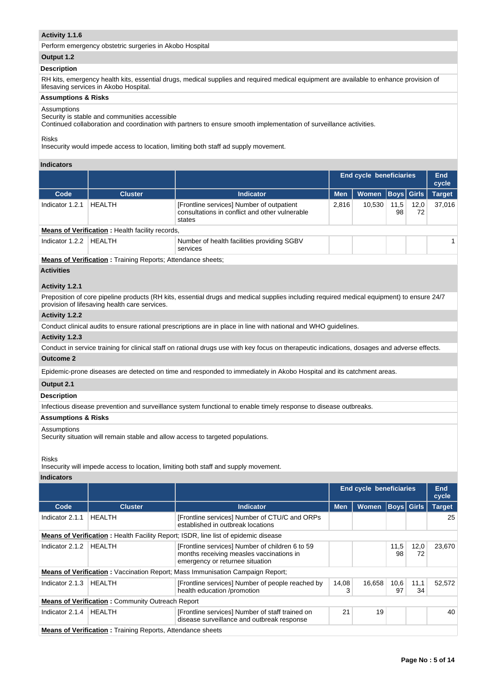### **Activity 1.1.6**

Perform emergency obstetric surgeries in Akobo Hospital

### **Output 1.2**

#### **Description**

RH kits, emergency health kits, essential drugs, medical supplies and required medical equipment are available to enhance provision of lifesaving services in Akobo Hospital.

### **Assumptions & Risks**

## Assumptions

Security is stable and communities accessible

Continued collaboration and coordination with partners to ensure smooth implementation of surveillance activities.

#### Risks

Insecurity would impede access to location, limiting both staff ad supply movement.

#### **Indicators**

|                 |                                                              |                                                                                                       |            | <b>End cycle beneficiaries</b> |                   |            |               |  |  |
|-----------------|--------------------------------------------------------------|-------------------------------------------------------------------------------------------------------|------------|--------------------------------|-------------------|------------|---------------|--|--|
| Code            | <b>Cluster</b>                                               | <b>Indicator</b>                                                                                      | <b>Men</b> | Women                          | <b>Boys</b> Girls |            | <b>Target</b> |  |  |
| Indicator 1.2.1 | <b>HEALTH</b>                                                | [Frontline services] Number of outpatient<br>consultations in conflict and other vulnerable<br>states | 2.816      | 10.530                         | 11,5<br>98        | 12,0<br>72 | 37.016        |  |  |
|                 | <b>Means of Verification:</b> Health facility records,       |                                                                                                       |            |                                |                   |            |               |  |  |
| Indicator 1.2.2 | HEALTH                                                       | Number of health facilities providing SGBV<br>services                                                |            |                                |                   |            |               |  |  |
|                 | Means of Verification · Training Reports: Attendance sheets: |                                                                                                       |            |                                |                   |            |               |  |  |

**<u>ification</u> :** Training Reports; Attendance sheets;

## **Activities**

## **Activity 1.2.1**

Preposition of core pipeline products (RH kits, essential drugs and medical supplies including required medical equipment) to ensure 24/7 provision of lifesaving health care services.

#### **Activity 1.2.2**

Conduct clinical audits to ensure rational prescriptions are in place in line with national and WHO guidelines.

#### **Activity 1.2.3**

Conduct in service training for clinical staff on rational drugs use with key focus on therapeutic indications, dosages and adverse effects.

## **Outcome 2**

Epidemic-prone diseases are detected on time and responded to immediately in Akobo Hospital and its catchment areas.

## **Output 2.1**

## **Description**

Infectious disease prevention and surveillance system functional to enable timely response to disease outbreaks.

#### **Assumptions & Risks**

#### Assumptions

Security situation will remain stable and allow access to targeted populations.

Risks

Insecurity will impede access to location, limiting both staff and supply movement.

#### **Indicators**

|                 |                                                                   |                                                                                                                                |                                            | <b>End cycle beneficiaries</b> |            |            |               |  |
|-----------------|-------------------------------------------------------------------|--------------------------------------------------------------------------------------------------------------------------------|--------------------------------------------|--------------------------------|------------|------------|---------------|--|
| Code            | <b>Cluster</b>                                                    | <b>Indicator</b>                                                                                                               | Boys  Girls <br><b>Women</b><br><b>Men</b> |                                |            |            | <b>Target</b> |  |
| Indicator 2.1.1 | <b>HEALTH</b>                                                     | [Frontline services] Number of CTU/C and ORPs<br>established in outbreak locations                                             |                                            |                                |            |            | 25            |  |
|                 |                                                                   | <b>Means of Verification:</b> Health Facility Report; ISDR, line list of epidemic disease                                      |                                            |                                |            |            |               |  |
| Indicator 2.1.2 | HEALTH                                                            | [Frontline services] Number of children 6 to 59<br>months receiving measles vaccinations in<br>emergency or returnee situation |                                            |                                | 11,5<br>98 | 12,0<br>72 | 23.670        |  |
|                 |                                                                   | <b>Means of Verification:</b> Vaccination Report; Mass Immunisation Campaign Report;                                           |                                            |                                |            |            |               |  |
| Indicator 2.1.3 | HEALTH                                                            | [Frontline services] Number of people reached by<br>health education /promotion                                                | 14,08<br>3                                 | 16,658                         | 10,6<br>97 | 11,1<br>34 | 52,572        |  |
|                 | <b>Means of Verification: Community Outreach Report</b>           |                                                                                                                                |                                            |                                |            |            |               |  |
| Indicator 2.1.4 | HEALTH                                                            | [Frontline services] Number of staff trained on<br>disease surveillance and outbreak response                                  | 21                                         | 19                             |            |            | 40            |  |
|                 | <b>Means of Verification: Training Reports, Attendance sheets</b> |                                                                                                                                |                                            |                                |            |            |               |  |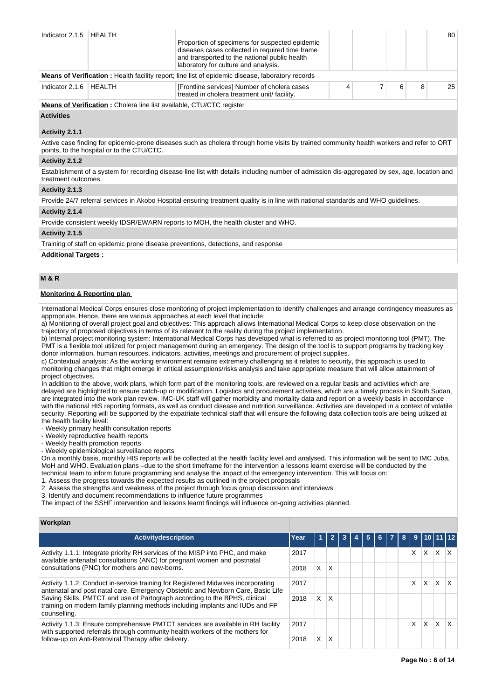| Indicator $2.1.5$ | HEALTH                                                                      | Proportion of specimens for suspected epidemic<br>diseases cases collected in required time frame<br>and transported to the national public health |  |   | 80 |
|-------------------|-----------------------------------------------------------------------------|----------------------------------------------------------------------------------------------------------------------------------------------------|--|---|----|
|                   |                                                                             | laboratory for culture and analysis.<br>Means of Verification : Health facility report; line list of epidemic disease, laboratory records          |  |   |    |
| Indicator 2.1.6   | HEALTH                                                                      | [Frontline services] Number of cholera cases<br>treated in cholera treatment unit/ facility.                                                       |  | 8 | 25 |
|                   | <b>Means of Verification:</b> Cholera line list available, CTU/CTC register |                                                                                                                                                    |  |   |    |

**Activities**

#### **Activity 2.1.1**

Active case finding for epidemic-prone diseases such as cholera through home visits by trained community health workers and refer to ORT points, to the hospital or to the CTU/CTC.

### **Activity 2.1.2**

Establishment of a system for recording disease line list with details including number of admission dis-aggregated by sex, age, location and treatment outcomes.

#### **Activity 2.1.3**

Provide 24/7 referral services in Akobo Hospital ensuring treatment quality is in line with national standards and WHO guidelines.

#### **Activity 2.1.4**

Provide consistent weekly IDSR/EWARN reports to MOH, the health cluster and WHO.

#### **Activity 2.1.5**

Training of staff on epidemic prone disease preventions, detections, and response

**Additional Targets :**

## **M & R**

### **Monitoring & Reporting plan**

International Medical Corps ensures close monitoring of project implementation to identify challenges and arrange contingency measures as appropriate. Hence, there are various approaches at each level that include:

a) Monitoring of overall project goal and objectives: This approach allows International Medical Corps to keep close observation on the trajectory of proposed objectives in terms of its relevant to the reality during the project implementation.

b) Internal project monitoring system: International Medical Corps has developed what is referred to as project monitoring tool (PMT). The PMT is a flexible tool utilized for project management during an emergency. The design of the tool is to support programs by tracking key donor information, human resources, indicators, activities, meetings and procurement of project supplies.

c) Contextual analysis: As the working environment remains extremely challenging as it relates to security, this approach is used to monitoring changes that might emerge in critical assumptions/risks analysis and take appropriate measure that will allow attainment of project objectives.

In addition to the above, work plans, which form part of the monitoring tools, are reviewed on a regular basis and activities which are delayed are highlighted to ensure catch-up or modification. Logistics and procurement activities, which are a timely process in South Sudan, are integrated into the work plan review. IMC-UK staff will gather morbidity and mortality data and report on a weekly basis in accordance with the national HIS reporting formats, as well as conduct disease and nutrition surveillance. Activities are developed in a context of volatile security. Reporting will be supported by the expatriate technical staff that will ensure the following data collection tools are being utilized at the health facility level:

- Weekly primary health consultation reports

- Weekly reproductive health reports

- Weekly health promotion reports

- Weekly epidemiological surveillance reports

On a monthly basis, monthly HIS reports will be collected at the health facility level and analysed. This information will be sent to IMC Juba, MoH and WHO. Evaluation plans –due to the short timeframe for the intervention a lessons learnt exercise will be conducted by the technical team to inform future programming and analyse the impact of the emergency intervention. This will focus on:

1. Assess the progress towards the expected results as outlined in the project proposals

2. Assess the strengths and weakness of the project through focus group discussion and interviews

3. Identify and document recommendations to influence future programmes

The impact of the SSHF intervention and lessons learnt findings will influence on-going activities planned.

## **Workplan**

| <b>Activitydescription</b>                                                                                                                                                                                                                                                                                                                                                                                                                                                     | Year | и  |          |  |  | 8 |   | 9   10   11   12 |    |    |
|--------------------------------------------------------------------------------------------------------------------------------------------------------------------------------------------------------------------------------------------------------------------------------------------------------------------------------------------------------------------------------------------------------------------------------------------------------------------------------|------|----|----------|--|--|---|---|------------------|----|----|
| Activity 1.1.1: Integrate priority RH services of the MISP into PHC, and make<br>available antenatal consultations (ANC) for pregnant women and postnatal<br>consultations (PNC) for mothers and new-borns.<br>Activity 1.1.2: Conduct in-service training for Registered Midwives incorporating<br>Saving Skills, PMTCT and use of Partograph according to the BPHS, clinical<br>counselling.<br>with supported referrals through community health workers of the mothers for | 2017 |    |          |  |  |   | X | X                | X. | X. |
|                                                                                                                                                                                                                                                                                                                                                                                                                                                                                | 2018 | X. | <b>X</b> |  |  |   |   |                  |    |    |
| antenatal and post natal care, Emergency Obstetric and Newborn Care, Basic Life<br>training on modern family planning methods including implants and IUDs and FP<br>Activity 1.1.3: Ensure comprehensive PMTCT services are available in RH facility<br>follow-up on Anti-Retroviral Therapy after delivery.                                                                                                                                                                   | 2017 |    |          |  |  |   | X | X                | X  |    |
|                                                                                                                                                                                                                                                                                                                                                                                                                                                                                | 2018 | X. | ΙX       |  |  |   |   |                  |    |    |
|                                                                                                                                                                                                                                                                                                                                                                                                                                                                                | 2017 |    |          |  |  |   | X | X                | X  |    |
|                                                                                                                                                                                                                                                                                                                                                                                                                                                                                | 2018 | X. | X        |  |  |   |   |                  |    |    |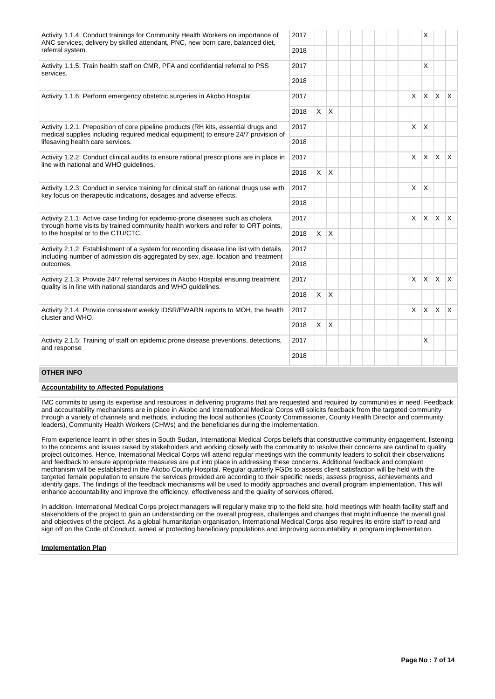| Activity 1.1.4: Conduct trainings for Community Health Workers on importance of<br>ANC services, delivery by skilled attendant, PNC, new born care, balanced diet,                                        | 2017 |          |              |  |              | X            |              |              |
|-----------------------------------------------------------------------------------------------------------------------------------------------------------------------------------------------------------|------|----------|--------------|--|--------------|--------------|--------------|--------------|
| referral system.                                                                                                                                                                                          | 2018 |          |              |  |              |              |              |              |
| Activity 1.1.5: Train health staff on CMR, PFA and confidential referral to PSS<br>services.                                                                                                              | 2017 |          |              |  |              | X            |              |              |
|                                                                                                                                                                                                           | 2018 |          |              |  |              |              |              |              |
| Activity 1.1.6: Perform emergency obstetric surgeries in Akobo Hospital                                                                                                                                   | 2017 |          |              |  | $\mathsf{x}$ |              | $X \times X$ |              |
|                                                                                                                                                                                                           | 2018 |          | $X \mid X$   |  |              |              |              |              |
| Activity 1.2.1: Preposition of core pipeline products (RH kits, essential drugs and<br>medical supplies including required medical equipment) to ensure 24/7 provision of                                 | 2017 |          |              |  | X            | $\mathsf{X}$ |              |              |
| lifesaving health care services.                                                                                                                                                                          | 2018 |          |              |  |              |              |              |              |
| Activity 1.2.2: Conduct clinical audits to ensure rational prescriptions are in place in<br>line with national and WHO guidelines.                                                                        | 2017 |          |              |  | X            | ΙX.          | $\mathsf{X}$ | $\mathsf{X}$ |
|                                                                                                                                                                                                           | 2018 | X        | $\mathsf{X}$ |  |              |              |              |              |
| Activity 1.2.3: Conduct in service training for clinical staff on rational drugs use with<br>key focus on therapeutic indications, dosages and adverse effects.                                           | 2017 |          |              |  | X            | $\mathsf{X}$ |              |              |
|                                                                                                                                                                                                           | 2018 |          |              |  |              |              |              |              |
| Activity 2.1.1: Active case finding for epidemic-prone diseases such as cholera<br>through home visits by trained community health workers and refer to ORT points,<br>to the hospital or to the CTU/CTC. | 2017 |          |              |  | $\times$     | ΙX.          | $X$ $X$      |              |
|                                                                                                                                                                                                           | 2018 | X        | $\mathsf{X}$ |  |              |              |              |              |
| Activity 2.1.2: Establishment of a system for recording disease line list with details<br>including number of admission dis-aggregated by sex, age, location and treatment                                | 2017 |          |              |  |              |              |              |              |
| outcomes.                                                                                                                                                                                                 | 2018 |          |              |  |              |              |              |              |
| Activity 2.1.3: Provide 24/7 referral services in Akobo Hospital ensuring treatment<br>quality is in line with national standards and WHO guidelines.                                                     | 2017 |          |              |  | X            |              | $x \times x$ |              |
|                                                                                                                                                                                                           | 2018 |          | $X \mid X$   |  |              |              |              |              |
| Activity 2.1.4: Provide consistent weekly IDSR/EWARN reports to MOH, the health<br>cluster and WHO.                                                                                                       | 2017 |          |              |  | X            | Ιx.          | $x \times$   |              |
|                                                                                                                                                                                                           | 2018 | $\times$ | $\mathsf{X}$ |  |              |              |              |              |
| Activity 2.1.5: Training of staff on epidemic prone disease preventions, detections,<br>and response                                                                                                      | 2017 |          |              |  |              | X            |              |              |
|                                                                                                                                                                                                           | 2018 |          |              |  |              |              |              |              |

## **OTHER INFO**

#### **Accountability to Affected Populations**

IMC commits to using its expertise and resources in delivering programs that are requested and required by communities in need. Feedback and accountability mechanisms are in place in Akobo and International Medical Corps will solicits feedback from the targeted community through a variety of channels and methods, including the local authorities (County Commissioner, County Health Director and community leaders), Community Health Workers (CHWs) and the beneficiaries during the implementation.

From experience learnt in other sites in South Sudan, International Medical Corps beliefs that constructive community engagement, listening to the concerns and issues raised by stakeholders and working closely with the community to resolve their concerns are cardinal to quality project outcomes. Hence, International Medical Corps will attend regular meetings with the community leaders to solicit their observations and feedback to ensure appropriate measures are put into place in addressing these concerns. Additional feedback and complaint mechanism will be established in the Akobo County Hospital. Regular quarterly FGDs to assess client satisfaction will be held with the targeted female population to ensure the services provided are according to their specific needs, assess progress, achievements and identify gaps. The findings of the feedback mechanisms will be used to modify approaches and overall program implementation. This will enhance accountability and improve the efficiency, effectiveness and the quality of services offered.

In addition, International Medical Corps project managers will regularly make trip to the field site, hold meetings with health facility staff and stakeholders of the project to gain an understanding on the overall progress, challenges and changes that might influence the overall goal and objectives of the project. As a global humanitarian organisation, International Medical Corps also requires its entire staff to read and sign off on the Code of Conduct, aimed at protecting beneficiary populations and improving accountability in program implementation.

#### **Implementation Plan**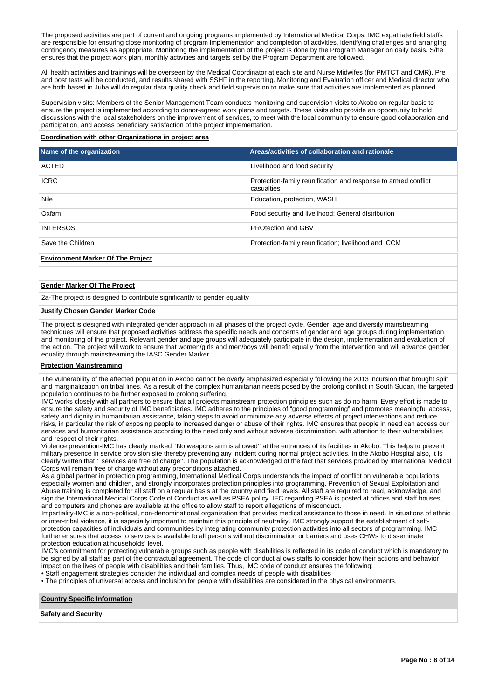The proposed activities are part of current and ongoing programs implemented by International Medical Corps. IMC expatriate field staffs are responsible for ensuring close monitoring of program implementation and completion of activities, identifying challenges and arranging contingency measures as appropriate. Monitoring the implementation of the project is done by the Program Manager on daily basis. S/he ensures that the project work plan, monthly activities and targets set by the Program Department are followed.

All health activities and trainings will be overseen by the Medical Coordinator at each site and Nurse Midwifes (for PMTCT and CMR). Pre and post tests will be conducted, and results shared with SSHF in the reporting. Monitoring and Evaluation officer and Medical director who are both based in Juba will do regular data quality check and field supervision to make sure that activities are implemented as planned.

Supervision visits: Members of the Senior Management Team conducts monitoring and supervision visits to Akobo on regular basis to ensure the project is implemented according to donor-agreed work plans and targets. These visits also provide an opportunity to hold discussions with the local stakeholders on the improvement of services, to meet with the local community to ensure good collaboration and participation, and access beneficiary satisfaction of the project implementation.

#### **Coordination with other Organizations in project area**

| Name of the organization                 | Areas/activities of collaboration and rationale                              |
|------------------------------------------|------------------------------------------------------------------------------|
| <b>ACTED</b>                             | Livelihood and food security                                                 |
| <b>ICRC</b>                              | Protection-family reunification and response to armed conflict<br>casualties |
| Nile                                     | Education, protection, WASH                                                  |
| Oxfam                                    | Food security and livelihood; General distribution                           |
| <b>INTERSOS</b>                          | PROtection and GBV                                                           |
| Save the Children                        | Protection-family reunification; livelihood and ICCM                         |
| <b>Environment Marker Of The Project</b> |                                                                              |

#### **Gender Marker Of The Project**

2a-The project is designed to contribute significantly to gender equality

#### **Justify Chosen Gender Marker Code**

The project is designed with integrated gender approach in all phases of the project cycle. Gender, age and diversity mainstreaming techniques will ensure that proposed activities address the specific needs and concerns of gender and age groups during implementation and monitoring of the project. Relevant gender and age groups will adequately participate in the design, implementation and evaluation of the action. The project will work to ensure that women/girls and men/boys will benefit equally from the intervention and will advance gender equality through mainstreaming the IASC Gender Marker.

#### **Protection Mainstreaming**

The vulnerability of the affected population in Akobo cannot be overly emphasized especially following the 2013 incursion that brought split and marginalization on tribal lines. As a result of the complex humanitarian needs posed by the prolong conflict in South Sudan, the targeted population continues to be further exposed to prolong suffering.

IMC works closely with all partners to ensure that all projects mainstream protection principles such as do no harm. Every effort is made to ensure the safety and security of IMC beneficiaries. IMC adheres to the principles of "good programming" and promotes meaningful access, safety and dignity in humanitarian assistance, taking steps to avoid or minimize any adverse effects of project interventions and reduce risks, in particular the risk of exposing people to increased danger or abuse of their rights. IMC ensures that people in need can access our services and humanitarian assistance according to the need only and without adverse discrimination, with attention to their vulnerabilities and respect of their rights.

Violence prevention-IMC has clearly marked ''No weapons arm is allowed'' at the entrances of its facilities in Akobo. This helps to prevent military presence in service provision site thereby preventing any incident during normal project activities. In the Akobo Hospital also, it is clearly written that '' services are free of charge''. The population is acknowledged of the fact that services provided by International Medical Corps will remain free of charge without any preconditions attached.

As a global partner in protection programming, International Medical Corps understands the impact of conflict on vulnerable populations, especially women and children, and strongly incorporates protection principles into programming. Prevention of Sexual Exploitation and Abuse training is completed for all staff on a regular basis at the country and field levels. All staff are required to read, acknowledge, and sign the International Medical Corps Code of Conduct as well as PSEA policy. IEC regarding PSEA is posted at offices and staff houses, and computers and phones are available at the office to allow staff to report allegations of misconduct.

Impartiality-IMC is a non-political, non-denominational organization that provides medical assistance to those in need. In situations of ethnic or inter-tribal violence, it is especially important to maintain this principle of neutrality. IMC strongly support the establishment of selfprotection capacities of individuals and communities by integrating community protection activities into all sectors of programming. IMC further ensures that access to services is available to all persons without discrimination or barriers and uses CHWs to disseminate protection education at households' level.

IMC's commitment for protecting vulnerable groups such as people with disabilities is reflected in its code of conduct which is mandatory to be signed by all staff as part of the contractual agreement. The code of conduct allows staffs to consider how their actions and behavior impact on the lives of people with disabilities and their families. Thus, IMC code of conduct ensures the following:

• Staff engagement strategies consider the individual and complex needs of people with disabilities

• The principles of universal access and inclusion for people with disabilities are considered in the physical environments.

**Country Specific Information**

**Safety and Security**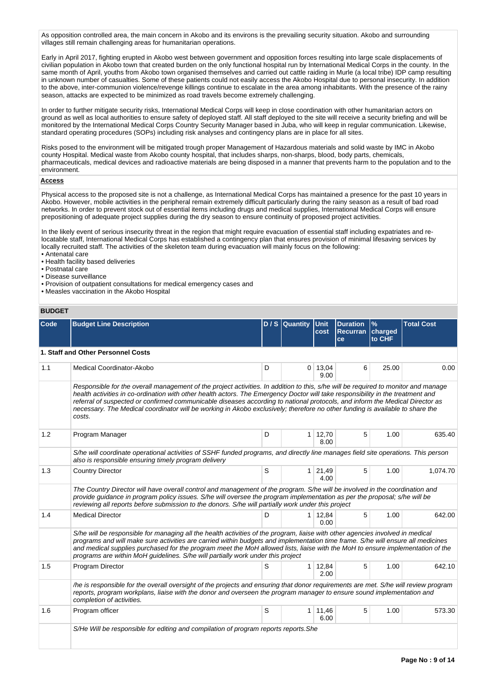As opposition controlled area, the main concern in Akobo and its environs is the prevailing security situation. Akobo and surrounding villages still remain challenging areas for humanitarian operations.

Early in April 2017, fighting erupted in Akobo west between government and opposition forces resulting into large scale displacements of civilian population in Akobo town that created burden on the only functional hospital run by International Medical Corps in the county. In the same month of April, youths from Akobo town organised themselves and carried out cattle raiding in Murle (a local tribe) IDP camp resulting in unknown number of casualties. Some of these patients could not easily access the Akobo Hospital due to personal insecurity. In addition to the above, inter-communion violence/revenge killings continue to escalate in the area among inhabitants. With the presence of the rainy season, attacks are expected to be minimized as road travels become extremely challenging.

In order to further mitigate security risks, International Medical Corps will keep in close coordination with other humanitarian actors on ground as well as local authorities to ensure safety of deployed staff. All staff deployed to the site will receive a security briefing and will be monitored by the International Medical Corps Country Security Manager based in Juba, who will keep in regular communication. Likewise, standard operating procedures (SOPs) including risk analyses and contingency plans are in place for all sites.

Risks posed to the environment will be mitigated trough proper Management of Hazardous materials and solid waste by IMC in Akobo county Hospital. Medical waste from Akobo county hospital, that includes sharps, non-sharps, blood, body parts, chemicals, pharmaceuticals, medical devices and radioactive materials are being disposed in a manner that prevents harm to the population and to the environment.

### **Access**

Physical access to the proposed site is not a challenge, as International Medical Corps has maintained a presence for the past 10 years in Akobo. However, mobile activities in the peripheral remain extremely difficult particularly during the rainy season as a result of bad road networks. In order to prevent stock out of essential items including drugs and medical supplies, International Medical Corps will ensure prepositioning of adequate project supplies during the dry season to ensure continuity of proposed project activities.

In the likely event of serious insecurity threat in the region that might require evacuation of essential staff including expatriates and relocatable staff, International Medical Corps has established a contingency plan that ensures provision of minimal lifesaving services by locally recruited staff. The activities of the skeleton team during evacuation will mainly focus on the following:

- Antenatal care
- Health facility based deliveries
- Postnatal care
- Disease surveillance
- Provision of outpatient consultations for medical emergency cases and
- Measles vaccination in the Akobo Hospital

## **BUDGET**

| Code | <b>Budget Line Description</b>                                                                                                                                                                                                                                                                                                                                                                                                                                                                                                                   |   | D / S Quantity Unit | cost                    | <b>Duration</b><br>Recurran charged<br><b>ce</b> | $\frac{9}{6}$<br>to CHF | <b>Total Cost</b> |
|------|--------------------------------------------------------------------------------------------------------------------------------------------------------------------------------------------------------------------------------------------------------------------------------------------------------------------------------------------------------------------------------------------------------------------------------------------------------------------------------------------------------------------------------------------------|---|---------------------|-------------------------|--------------------------------------------------|-------------------------|-------------------|
|      | 1. Staff and Other Personnel Costs                                                                                                                                                                                                                                                                                                                                                                                                                                                                                                               |   |                     |                         |                                                  |                         |                   |
| 1.1  | <b>Medical Coordinator-Akobo</b>                                                                                                                                                                                                                                                                                                                                                                                                                                                                                                                 | D |                     | $0 \mid 13,04$<br>9.00  | 6                                                | 25.00                   | 0.00              |
|      | Responsible for the overall management of the project activities. In addition to this, s/he will be required to monitor and manage<br>health activities in co-ordination with other health actors. The Emergency Doctor will take responsibility in the treatment and<br>referral of suspected or confirmed communicable diseases according to national protocols, and inform the Medical Director as<br>necessary. The Medical coordinator will be working in Akobo exclusively; therefore no other funding is available to share the<br>costs. |   |                     |                         |                                                  |                         |                   |
| 1.2  | Program Manager                                                                                                                                                                                                                                                                                                                                                                                                                                                                                                                                  | D |                     | $1 \mid 12,70$<br>8.00  | 5                                                | 1.00                    | 635.40            |
|      | S/he will coordinate operational activities of SSHF funded programs, and directly line manages field site operations. This person<br>also is responsible ensuring timely program delivery                                                                                                                                                                                                                                                                                                                                                        |   |                     |                         |                                                  |                         |                   |
| 1.3  | <b>Country Director</b>                                                                                                                                                                                                                                                                                                                                                                                                                                                                                                                          | S |                     | $1 \ 21,49$<br>4.00     | 5                                                | 1.00                    | 1,074.70          |
|      | The Country Director will have overall control and management of the program. S/he will be involved in the coordination and<br>provide guidance in program policy issues. S/he will oversee the program implementation as per the proposal; s/he will be<br>reviewing all reports before submission to the donors. S/he will partially work under this project                                                                                                                                                                                   |   |                     |                         |                                                  |                         |                   |
| 1.4  | <b>Medical Director</b>                                                                                                                                                                                                                                                                                                                                                                                                                                                                                                                          | D |                     | $1 \mid 12,84$<br>0.00  | 5                                                | 1.00                    | 642.00            |
|      | S/he will be responsible for managing all the health activities of the program, liaise with other agencies involved in medical<br>programs and will make sure activities are carried within budgets and implementation time frame. S/he will ensure all medicines<br>and medical supplies purchased for the program meet the MoH allowed lists, liaise with the MoH to ensure implementation of the<br>programs are within MoH guidelines. S/he will partially work under this project                                                           |   |                     |                         |                                                  |                         |                   |
| 1.5  | Program Director                                                                                                                                                                                                                                                                                                                                                                                                                                                                                                                                 | S |                     | 1 12,84<br>2.00         | 5                                                | 1.00                    | 642.10            |
|      | /he is responsible for the overall oversight of the projects and ensuring that donor requirements are met. S/he will review program<br>reports, program workplans, liaise with the donor and overseen the program manager to ensure sound implementation and<br>completion of activities.                                                                                                                                                                                                                                                        |   |                     |                         |                                                  |                         |                   |
| 1.6  | Program officer                                                                                                                                                                                                                                                                                                                                                                                                                                                                                                                                  | S |                     | $1 \quad 11,46$<br>6.00 | 5                                                | 1.00                    | 573.30            |
|      | S/He Will be responsible for editing and compilation of program reports reports. She                                                                                                                                                                                                                                                                                                                                                                                                                                                             |   |                     |                         |                                                  |                         |                   |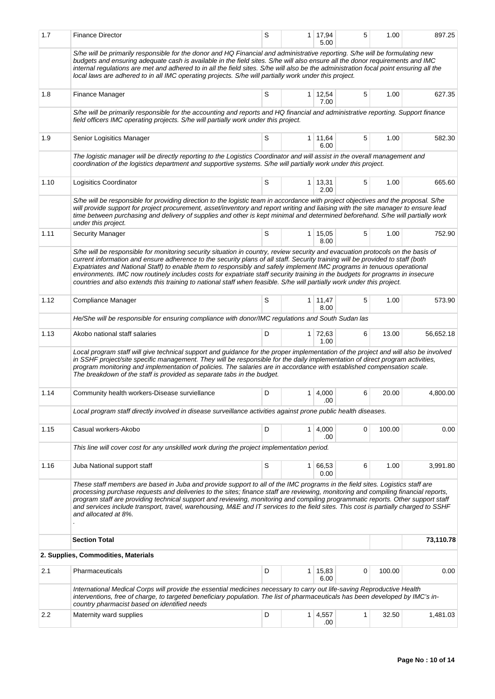| 1.7  | <b>Finance Director</b>                                                                                                                                                                                                                                                                                                                                                                                                                                                                                                                                                                                                                                | S |                | 1 17,94<br>5.00         | 5 | 1.00   | 897.25    |
|------|--------------------------------------------------------------------------------------------------------------------------------------------------------------------------------------------------------------------------------------------------------------------------------------------------------------------------------------------------------------------------------------------------------------------------------------------------------------------------------------------------------------------------------------------------------------------------------------------------------------------------------------------------------|---|----------------|-------------------------|---|--------|-----------|
|      | S/he will be primarily responsible for the donor and HQ Financial and administrative reporting. S/he will be formulating new<br>budgets and ensuring adequate cash is available in the field sites. S/he will also ensure all the donor requirements and IMC<br>internal regulations are met and adhered to in all the field sites. S/he will also be the administration focal point ensuring all the<br>local laws are adhered to in all IMC operating projects. S/he will partially work under this project.                                                                                                                                         |   |                |                         |   |        |           |
| 1.8  | Finance Manager                                                                                                                                                                                                                                                                                                                                                                                                                                                                                                                                                                                                                                        | S |                | $1 \quad 12,54$<br>7.00 | 5 | 1.00   | 627.35    |
|      | S/he will be primarily responsible for the accounting and reports and HQ financial and administrative reporting. Support finance<br>field officers IMC operating projects. S/he will partially work under this project.                                                                                                                                                                                                                                                                                                                                                                                                                                |   |                |                         |   |        |           |
| 1.9  | Senior Logisitics Manager                                                                                                                                                                                                                                                                                                                                                                                                                                                                                                                                                                                                                              | S | 1 <sup>1</sup> | 11,64<br>6.00           | 5 | 1.00   | 582.30    |
|      | The logistic manager will be directly reporting to the Logistics Coordinator and will assist in the overall management and<br>coordination of the logistics department and supportive systems. S/he will partially work under this project.                                                                                                                                                                                                                                                                                                                                                                                                            |   |                |                         |   |        |           |
| 1.10 | Logisitics Coordinator                                                                                                                                                                                                                                                                                                                                                                                                                                                                                                                                                                                                                                 | S |                | $1 \mid 13,31$<br>2.00  | 5 | 1.00   | 665.60    |
|      | S/he will be responsible for providing direction to the logistic team in accordance with project objectives and the proposal. S/he<br>will provide support for project procurement, asset/inventory and report writing and liaising with the site manager to ensure lead<br>time between purchasing and delivery of supplies and other is kept minimal and determined beforehand. S/he will partially work<br>under this project.                                                                                                                                                                                                                      |   |                |                         |   |        |           |
| 1.11 | <b>Security Manager</b>                                                                                                                                                                                                                                                                                                                                                                                                                                                                                                                                                                                                                                | S |                | $1 \mid 15,05$<br>8.00  | 5 | 1.00   | 752.90    |
|      | S/he will be responsible for monitoring security situation in country, review security and evacuation protocols on the basis of<br>current information and ensure adherence to the security plans of all staff. Security training will be provided to staff (both<br>Expatriates and National Staff) to enable them to responsibly and safely implement IMC programs in tenuous operational<br>environments. IMC now routinely includes costs for expatriate staff security training in the budgets for programs in insecure<br>countries and also extends this training to national staff when feasible. S/he will partially work under this project. |   |                |                         |   |        |           |
| 1.12 | Compliance Manager                                                                                                                                                                                                                                                                                                                                                                                                                                                                                                                                                                                                                                     | S |                | $1 \mid 11,47$<br>8.00  | 5 | 1.00   | 573.90    |
|      | He/She will be responsible for ensuring compliance with donor/IMC regulations and South Sudan las                                                                                                                                                                                                                                                                                                                                                                                                                                                                                                                                                      |   |                |                         |   |        |           |
| 1.13 | Akobo national staff salaries                                                                                                                                                                                                                                                                                                                                                                                                                                                                                                                                                                                                                          | D |                | 1 72,63<br>1.00         | 6 | 13.00  | 56,652.18 |
|      | Local program staff will give technical support and guidance for the proper implementation of the project and will also be involved<br>in SSHF project/site specific management. They will be responsible for the daily implementation of direct program activities,<br>program monitoring and implementation of policies. The salaries are in accordance with established compensation scale.<br>The breakdown of the staff is provided as separate tabs in the budget.                                                                                                                                                                               |   |                |                         |   |        |           |
| 1.14 | Community health workers-Disease surviellance                                                                                                                                                                                                                                                                                                                                                                                                                                                                                                                                                                                                          | D | 1              | 4,000<br>.00            | 6 | 20.00  | 4,800.00  |
|      | Local program staff directly involved in disease surveillance activities against prone public health diseases.                                                                                                                                                                                                                                                                                                                                                                                                                                                                                                                                         |   |                |                         |   |        |           |
| 1.15 | Casual workers-Akobo                                                                                                                                                                                                                                                                                                                                                                                                                                                                                                                                                                                                                                   | D |                | $1 \mid 4,000$<br>.00   | 0 | 100.00 | 0.00      |
|      | This line will cover cost for any unskilled work during the project implementation period.                                                                                                                                                                                                                                                                                                                                                                                                                                                                                                                                                             |   |                |                         |   |        |           |
| 1.16 | Juba National support staff                                                                                                                                                                                                                                                                                                                                                                                                                                                                                                                                                                                                                            | S |                | 1 66,53<br>0.00         | 6 | 1.00   | 3,991.80  |
|      | These staff members are based in Juba and provide support to all of the IMC programs in the field sites. Logistics staff are<br>processing purchase requests and deliveries to the sites; finance staff are reviewing, monitoring and compiling financial reports,<br>program staff are providing technical support and reviewing, monitoring and compiling programmatic reports. Other support staff<br>and services include transport, travel, warehousing, M&E and IT services to the field sites. This cost is partially charged to SSHF<br>and allocated at 8%.                                                                                   |   |                |                         |   |        |           |
|      | <b>Section Total</b>                                                                                                                                                                                                                                                                                                                                                                                                                                                                                                                                                                                                                                   |   |                |                         |   |        | 73,110.78 |
|      | 2. Supplies, Commodities, Materials                                                                                                                                                                                                                                                                                                                                                                                                                                                                                                                                                                                                                    |   |                |                         |   |        |           |
| 2.1  | Pharmaceuticals                                                                                                                                                                                                                                                                                                                                                                                                                                                                                                                                                                                                                                        | D | 1 <sup>1</sup> | 15,83<br>6.00           | 0 | 100.00 | 0.00      |
|      | International Medical Corps will provide the essential medicines necessary to carry out life-saving Reproductive Health<br>interventions, free of charge, to targeted beneficiary population. The list of pharmaceuticals has been developed by IMC's in-<br>country pharmacist based on identified needs                                                                                                                                                                                                                                                                                                                                              |   |                |                         |   |        |           |
| 2.2  | Maternity ward supplies                                                                                                                                                                                                                                                                                                                                                                                                                                                                                                                                                                                                                                | D |                | $1 \mid 4,557$<br>.00   | 1 | 32.50  | 1,481.03  |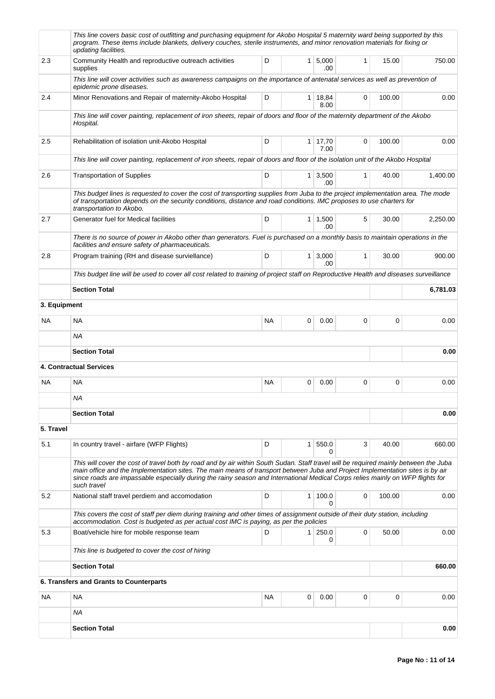|              | This line covers basic cost of outfitting and purchasing equipment for Akobo Hospital 5 maternity ward being supported by this<br>program. These items include blankets, delivery couches, sterile instruments, and minor renovation materials for fixing or<br>updating facilities.                                                                                                                                   |           |                |                        |              |        |          |
|--------------|------------------------------------------------------------------------------------------------------------------------------------------------------------------------------------------------------------------------------------------------------------------------------------------------------------------------------------------------------------------------------------------------------------------------|-----------|----------------|------------------------|--------------|--------|----------|
| 2.3          | Community Health and reproductive outreach activities<br>supplies                                                                                                                                                                                                                                                                                                                                                      | D         | 1 <sup>1</sup> | 5,000<br>.00           | $\mathbf{1}$ | 15.00  | 750.00   |
|              | This line will cover activities such as awareness campaigns on the importance of antenatal services as well as prevention of<br>epidemic prone diseases.                                                                                                                                                                                                                                                               |           |                |                        |              |        |          |
| 2.4          | Minor Renovations and Repair of maternity-Akobo Hospital                                                                                                                                                                                                                                                                                                                                                               | D         |                | $1 \mid 18,84$<br>8.00 | 0            | 100.00 | 0.00     |
|              | This line will cover painting, replacement of iron sheets, repair of doors and floor of the maternity department of the Akobo<br>Hospital.                                                                                                                                                                                                                                                                             |           |                |                        |              |        |          |
| 2.5          | Rehabilitation of isolation unit-Akobo Hospital                                                                                                                                                                                                                                                                                                                                                                        | D         | $\mathbf{1}$   | 17,70<br>7.00          | 0            | 100.00 | 0.00     |
|              | This line will cover painting, replacement of iron sheets, repair of doors and floor of the isolation unit of the Akobo Hospital                                                                                                                                                                                                                                                                                       |           |                |                        |              |        |          |
| 2.6          | <b>Transportation of Supplies</b>                                                                                                                                                                                                                                                                                                                                                                                      | D         | 1 <sup>1</sup> | 3,500<br>.00           | $\mathbf{1}$ | 40.00  | 1,400.00 |
|              | This budget lines is requested to cover the cost of transporting supplies from Juba to the project implementation area. The mode<br>of transportation depends on the security conditions, distance and road conditions. IMC proposes to use charters for<br>transportation to Akobo.                                                                                                                                   |           |                |                        |              |        |          |
| 2.7          | Generator fuel for Medical facilities                                                                                                                                                                                                                                                                                                                                                                                  | D         |                | $1 \mid 1,500$<br>.00. | 5            | 30.00  | 2,250.00 |
|              | There is no source of power in Akobo other than generators. Fuel is purchased on a monthly basis to maintain operations in the<br>facilities and ensure safety of pharmaceuticals.                                                                                                                                                                                                                                     |           |                |                        |              |        |          |
| 2.8          | Program training (RH and disease surviellance)                                                                                                                                                                                                                                                                                                                                                                         | D         | $\mathbf{1}$   | 3,000<br>.00           | $\mathbf{1}$ | 30.00  | 900.00   |
|              | This budget line will be used to cover all cost related to training of project staff on Reproductive Health and diseases surveillance                                                                                                                                                                                                                                                                                  |           |                |                        |              |        |          |
|              | <b>Section Total</b>                                                                                                                                                                                                                                                                                                                                                                                                   |           |                |                        |              |        | 6,781.03 |
| 3. Equipment |                                                                                                                                                                                                                                                                                                                                                                                                                        |           |                |                        |              |        |          |
| <b>NA</b>    | NA                                                                                                                                                                                                                                                                                                                                                                                                                     | <b>NA</b> | 0              | 0.00                   | $\mathbf 0$  | 0      | 0.00     |
|              | NA.                                                                                                                                                                                                                                                                                                                                                                                                                    |           |                |                        |              |        |          |
|              | <b>Section Total</b>                                                                                                                                                                                                                                                                                                                                                                                                   |           |                |                        |              |        | 0.00     |
|              | 4. Contractual Services                                                                                                                                                                                                                                                                                                                                                                                                |           |                |                        |              |        |          |
| <b>NA</b>    | <b>NA</b>                                                                                                                                                                                                                                                                                                                                                                                                              | <b>NA</b> | 0              | 0.00                   | $\mathbf 0$  | 0      | 0.00     |
|              | ΝA                                                                                                                                                                                                                                                                                                                                                                                                                     |           |                |                        |              |        |          |
|              | <b>Section Total</b>                                                                                                                                                                                                                                                                                                                                                                                                   |           | 0.00           |                        |              |        |          |
| 5. Travel    |                                                                                                                                                                                                                                                                                                                                                                                                                        |           |                |                        |              |        |          |
| 5.1          | In country travel - airfare (WFP Flights)                                                                                                                                                                                                                                                                                                                                                                              | D         | $\mathbf{1}$   | 550.0<br>0             | 3            | 40.00  | 660.00   |
|              | This will cover the cost of travel both by road and by air within South Sudan. Staff travel will be required mainly between the Juba<br>main office and the Implementation sites. The main means of transport between Juba and Project Implementation sites is by air<br>since roads are impassable especially during the rainy season and International Medical Corps relies mainly on WFP flights for<br>such travel |           |                |                        |              |        |          |
| 5.2          | National staff travel perdiem and accomodation                                                                                                                                                                                                                                                                                                                                                                         | D         | 1              | 100.0<br>0             | $\mathbf 0$  | 100.00 | 0.00     |
|              | This covers the cost of staff per diem during training and other times of assignment outside of their duty station, including<br>accommodation. Cost is budgeted as per actual cost IMC is paying, as per the policies                                                                                                                                                                                                 |           |                |                        |              |        |          |
| 5.3          | Boat/vehicle hire for mobile response team                                                                                                                                                                                                                                                                                                                                                                             | D         | 1 <sup>1</sup> | 250.0<br>0             | 0            | 50.00  | 0.00     |
|              | This line is budgeted to cover the cost of hiring                                                                                                                                                                                                                                                                                                                                                                      |           |                |                        |              |        |          |
|              | <b>Section Total</b>                                                                                                                                                                                                                                                                                                                                                                                                   |           |                |                        |              |        | 660.00   |
|              | 6. Transfers and Grants to Counterparts                                                                                                                                                                                                                                                                                                                                                                                |           |                |                        |              |        |          |
| NA           | NA                                                                                                                                                                                                                                                                                                                                                                                                                     | NА        | 0              | 0.00                   | 0            | 0      | 0.00     |
|              | ΝA                                                                                                                                                                                                                                                                                                                                                                                                                     |           |                |                        |              |        |          |
|              | <b>Section Total</b>                                                                                                                                                                                                                                                                                                                                                                                                   |           |                |                        |              |        | 0.00     |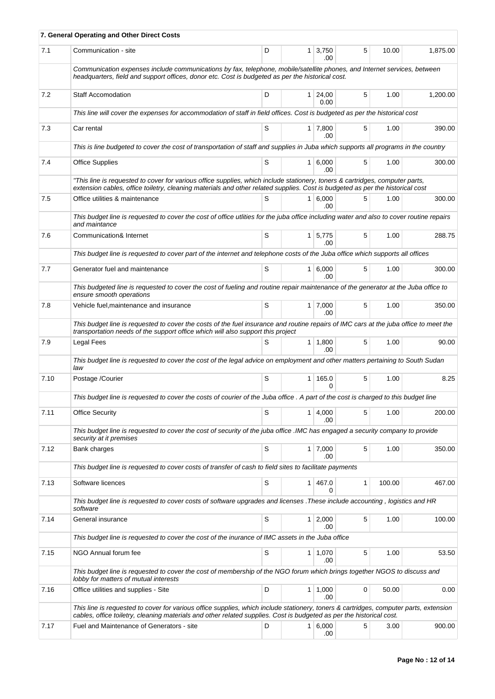|      | 7. General Operating and Other Direct Costs                                                                                                                                                                                                                   |   |                             |   |        |          |
|------|---------------------------------------------------------------------------------------------------------------------------------------------------------------------------------------------------------------------------------------------------------------|---|-----------------------------|---|--------|----------|
| 7.1  | Communication - site                                                                                                                                                                                                                                          | D | $1 \mid 3,750$<br>.00       | 5 | 10.00  | 1,875.00 |
|      | Communication expenses include communications by fax, telephone, mobile/satellite phones, and Internet services, between<br>headquarters, field and support offices, donor etc. Cost is budgeted as per the historical cost.                                  |   |                             |   |        |          |
| 7.2  | <b>Staff Accomodation</b>                                                                                                                                                                                                                                     | D | 1 24,00<br>0.00             | 5 | 1.00   | 1,200.00 |
|      | This line will cover the expenses for accommodation of staff in field offices. Cost is budgeted as per the historical cost                                                                                                                                    |   |                             |   |        |          |
| 7.3  | Car rental                                                                                                                                                                                                                                                    | S | $1 \overline{7,800}$<br>.00 | 5 | 1.00   | 390.00   |
|      | This is line budgeted to cover the cost of transportation of staff and supplies in Juba which supports all programs in the country                                                                                                                            |   |                             |   |        |          |
| 7.4  | <b>Office Supplies</b>                                                                                                                                                                                                                                        | S | 1   6,000<br>.00            | 5 | 1.00   | 300.00   |
|      | "This line is requested to cover for various office supplies, which include stationery, toners & cartridges, computer parts,<br>extension cables, office toiletry, cleaning materials and other related supplies. Cost is budgeted as per the historical cost |   |                             |   |        |          |
| 7.5  | Office utilities & maintenance                                                                                                                                                                                                                                | S | 1 6.000<br>.00.             | 5 | 1.00   | 300.00   |
|      | This budget line is requested to cover the cost of office utlities for the juba office including water and also to cover routine repairs<br>and maintance                                                                                                     |   |                             |   |        |          |
| 7.6  | Communication& Internet                                                                                                                                                                                                                                       | S | $1 \mid 5,775$<br>.00       | 5 | 1.00   | 288.75   |
|      | This budget line is requested to cover part of the internet and telephone costs of the Juba office which supports all offices                                                                                                                                 |   |                             |   |        |          |
| 7.7  | Generator fuel and maintenance                                                                                                                                                                                                                                | S | 1 6,000<br>.00              | 5 | 1.00   | 300.00   |
|      | This budgeted line is requested to cover the cost of fueling and routine repair maintenance of the generator at the Juba office to<br>ensure smooth operations                                                                                                |   |                             |   |        |          |
| 7.8  | Vehicle fuel, maintenance and insurance                                                                                                                                                                                                                       | S | $1 \mid 7,000$<br>.00       | 5 | 1.00   | 350.00   |
|      | This budget line is requested to cover the costs of the fuel insurance and routine repairs of IMC cars at the juba office to meet the<br>transportation needs of the support office which will also support this project                                      |   |                             |   |        |          |
| 7.9  | <b>Legal Fees</b>                                                                                                                                                                                                                                             | S | $1 \mid 1,800$<br>.00       | 5 | 1.00   | 90.00    |
|      | This budget line is requested to cover the cost of the legal advice on employment and other matters pertaining to South Sudan<br>law                                                                                                                          |   |                             |   |        |          |
| 7.10 | Postage /Courier                                                                                                                                                                                                                                              | S | 1 165.0<br>$\Omega$         | 5 | 1.00   | 8.25     |
|      | This budget line is requested to cover the costs of courier of the Juba office . A part of the cost is charged to this budget line                                                                                                                            |   |                             |   |        |          |
| 7.11 | <b>Office Security</b>                                                                                                                                                                                                                                        | S | 1   4,000<br>.00            | 5 | 1.00   | 200.00   |
|      | This budget line is requested to cover the cost of security of the juba office .IMC has engaged a security company to provide<br>security at it premises                                                                                                      |   |                             |   |        |          |
| 7.12 | Bank charges                                                                                                                                                                                                                                                  | S | $1 \mid 7,000$<br>.00       | 5 | 1.00   | 350.00   |
|      | This budget line is requested to cover costs of transfer of cash to field sites to facilitate payments                                                                                                                                                        |   |                             |   |        |          |
| 7.13 | Software licences                                                                                                                                                                                                                                             | S | 1 467.0<br>0                | 1 | 100.00 | 467.00   |
|      | This budget line is requested to cover costs of software upgrades and licenses . These include accounting, logistics and HR<br>software                                                                                                                       |   |                             |   |        |          |
| 7.14 | General insurance                                                                                                                                                                                                                                             | S | $1 \mid 2,000$<br>.00       | 5 | 1.00   | 100.00   |
|      | This budget line is requested to cover the cost of the inurance of IMC assets in the Juba office                                                                                                                                                              |   |                             |   |        |          |
| 7.15 | NGO Annual forum fee                                                                                                                                                                                                                                          | S | 1   1,070<br>.00            | 5 | 1.00   | 53.50    |
|      | This budget line is requested to cover the cost of membership of the NGO forum which brings together NGOS to discuss and<br>lobby for matters of mutual interests                                                                                             |   |                             |   |        |          |
| 7.16 | Office utilities and supplies - Site                                                                                                                                                                                                                          | D | 1   1,000<br>.00            | 0 | 50.00  | 0.00     |
|      | This line is requested to cover for various office supplies, which include stationery, toners & cartridges, computer parts, extension<br>cables, office toiletry, cleaning materials and other related supplies. Cost is budgeted as per the historical cost. |   |                             |   |        |          |
| 7.17 | Fuel and Maintenance of Generators - site                                                                                                                                                                                                                     | D | 1   6,000                   | 5 | 3.00   | 900.00   |
|      |                                                                                                                                                                                                                                                               |   | .00                         |   |        |          |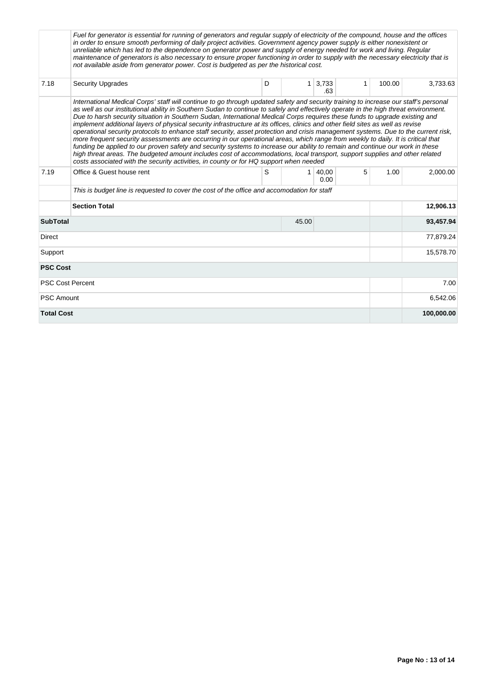|                         | Fuel for generator is essential for running of generators and regular supply of electricity of the compound, house and the offices<br>in order to ensure smooth performing of daily project activities. Government agency power supply is either nonexistent or<br>unreliable which has led to the dependence on generator power and supply of energy needed for work and living. Regular<br>maintenance of generators is also necessary to ensure proper functioning in order to supply with the necessary electricity that is<br>not available aside from generator power. Cost is budgeted as per the historical cost.                                                                                                                                                                                                                                                                                                                                                                                                                                                                                                                                                          |   |                |                              |   |        |            |
|-------------------------|------------------------------------------------------------------------------------------------------------------------------------------------------------------------------------------------------------------------------------------------------------------------------------------------------------------------------------------------------------------------------------------------------------------------------------------------------------------------------------------------------------------------------------------------------------------------------------------------------------------------------------------------------------------------------------------------------------------------------------------------------------------------------------------------------------------------------------------------------------------------------------------------------------------------------------------------------------------------------------------------------------------------------------------------------------------------------------------------------------------------------------------------------------------------------------|---|----------------|------------------------------|---|--------|------------|
| 7.18                    | <b>Security Upgrades</b>                                                                                                                                                                                                                                                                                                                                                                                                                                                                                                                                                                                                                                                                                                                                                                                                                                                                                                                                                                                                                                                                                                                                                           | D |                | $1 \overline{)3,733}$<br>.63 | 1 | 100.00 | 3,733.63   |
|                         | International Medical Corps' staff will continue to go through updated safety and security training to increase our staff's personal<br>as well as our institutional ability in Southern Sudan to continue to safely and effectively operate in the high threat environment.<br>Due to harsh security situation in Southern Sudan, International Medical Corps requires these funds to upgrade existing and<br>implement additional layers of physical security infrastructure at its offices, clinics and other field sites as well as revise<br>operational security protocols to enhance staff security, asset protection and crisis management systems. Due to the current risk,<br>more frequent security assessments are occurring in our operational areas, which range from weekly to daily. It is critical that<br>funding be applied to our proven safety and security systems to increase our ability to remain and continue our work in these<br>high threat areas. The budgeted amount includes cost of accommodations, local transport, support supplies and other related<br>costs associated with the security activities, in county or for HQ support when needed |   |                |                              |   |        |            |
| 7.19                    | Office & Guest house rent                                                                                                                                                                                                                                                                                                                                                                                                                                                                                                                                                                                                                                                                                                                                                                                                                                                                                                                                                                                                                                                                                                                                                          | S | 1 <sup>1</sup> | 40,00<br>0.00                | 5 | 1.00   | 2.000.00   |
|                         | This is budget line is requested to cover the cost of the office and accomodation for staff                                                                                                                                                                                                                                                                                                                                                                                                                                                                                                                                                                                                                                                                                                                                                                                                                                                                                                                                                                                                                                                                                        |   |                |                              |   |        |            |
|                         | <b>Section Total</b>                                                                                                                                                                                                                                                                                                                                                                                                                                                                                                                                                                                                                                                                                                                                                                                                                                                                                                                                                                                                                                                                                                                                                               |   |                |                              |   |        | 12,906.13  |
| <b>SubTotal</b>         |                                                                                                                                                                                                                                                                                                                                                                                                                                                                                                                                                                                                                                                                                                                                                                                                                                                                                                                                                                                                                                                                                                                                                                                    |   | 45.00          |                              |   |        | 93,457.94  |
| <b>Direct</b>           |                                                                                                                                                                                                                                                                                                                                                                                                                                                                                                                                                                                                                                                                                                                                                                                                                                                                                                                                                                                                                                                                                                                                                                                    |   |                |                              |   |        | 77,879.24  |
| Support                 |                                                                                                                                                                                                                                                                                                                                                                                                                                                                                                                                                                                                                                                                                                                                                                                                                                                                                                                                                                                                                                                                                                                                                                                    |   |                | 15,578.70                    |   |        |            |
| <b>PSC Cost</b>         |                                                                                                                                                                                                                                                                                                                                                                                                                                                                                                                                                                                                                                                                                                                                                                                                                                                                                                                                                                                                                                                                                                                                                                                    |   |                |                              |   |        |            |
| <b>PSC Cost Percent</b> |                                                                                                                                                                                                                                                                                                                                                                                                                                                                                                                                                                                                                                                                                                                                                                                                                                                                                                                                                                                                                                                                                                                                                                                    |   |                |                              |   |        | 7.00       |
| <b>PSC Amount</b>       |                                                                                                                                                                                                                                                                                                                                                                                                                                                                                                                                                                                                                                                                                                                                                                                                                                                                                                                                                                                                                                                                                                                                                                                    |   |                |                              |   |        | 6,542.06   |
| <b>Total Cost</b>       |                                                                                                                                                                                                                                                                                                                                                                                                                                                                                                                                                                                                                                                                                                                                                                                                                                                                                                                                                                                                                                                                                                                                                                                    |   |                |                              |   |        | 100,000.00 |